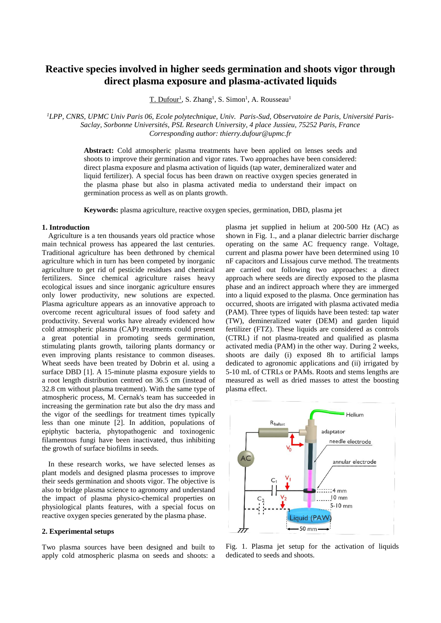# **Reactive species involved in higher seeds germination and shoots vigor through direct plasma exposure and plasma-activated liquids**

T. Dufour<sup>1</sup>, S. Zhang<sup>1</sup>, S. Simon<sup>1</sup>, A. Rousseau<sup>1</sup>

*1LPP, CNRS, UPMC Univ Paris 06, Ecole polytechnique, Univ. Paris-Sud, Observatoire de Paris, Université Paris-Saclay, Sorbonne Universités, PSL Research University, 4 place Jussieu, 75252 Paris, France Corresponding author: thierry.dufour@upmc.fr* 

> **Abstract:** Cold atmospheric plasma treatments have been applied on lenses seeds and shoots to improve their germination and vigor rates. Two approaches have been considered: direct plasma exposure and plasma activation of liquids (tap water, demineralized water and liquid fertilizer). A special focus has been drawn on reactive oxygen species generated in the plasma phase but also in plasma activated media to understand their impact on germination process as well as on plants growth.

**Keywords:** plasma agriculture, reactive oxygen species, germination, DBD, plasma jet

#### **1. Introduction**

Agriculture is a ten thousands years old practice whose main technical prowess has appeared the last centuries. Traditional agriculture has been dethroned by chemical agriculture which in turn has been competed by inorganic agriculture to get rid of pesticide residues and chemical fertilizers. Since chemical agriculture raises heavy ecological issues and since inorganic agriculture ensures only lower productivity, new solutions are expected. Plasma agriculture appears as an innovative approach to overcome recent agricultural issues of food safety and productivity. Several works have already evidenced how cold atmospheric plasma (CAP) treatments could present a great potential in promoting seeds germination, stimulating plants growth, tailoring plants dormancy or even improving plants resistance to common diseases. Wheat seeds have been treated by Dobrin et al. using a surface DBD [1]. A 15-minute plasma exposure yields to a root length distribution centred on 36.5 cm (instead of 32.8 cm without plasma treatment). With the same type of atmospheric process, M. Cernak's team has succeeded in increasing the germination rate but also the dry mass and the vigor of the seedlings for treatment times typically less than one minute [2]. In addition, populations of epiphytic bacteria, phytopathogenic and toxinogenic filamentous fungi have been inactivated, thus inhibiting the growth of surface biofilms in seeds.

In these research works, we have selected lenses as plant models and designed plasma processes to improve their seeds germination and shoots vigor. The objective is also to bridge plasma science to agronomy and understand the impact of plasma physico-chemical properties on physiological plants features, with a special focus on reactive oxygen species generated by the plasma phase.

# **2. Experimental setups**

Two plasma sources have been designed and built to apply cold atmospheric plasma on seeds and shoots: a plasma jet supplied in helium at 200-500 Hz (AC) as shown in Fig. 1., and a planar dielectric barrier discharge operating on the same AC frequency range. Voltage, current and plasma power have been determined using 10 nF capacitors and Lissajous curve method. The treatments are carried out following two approaches: a direct approach where seeds are directly exposed to the plasma phase and an indirect approach where they are immerged into a liquid exposed to the plasma. Once germination has occurred, shoots are irrigated with plasma activated media (PAM). Three types of liquids have been tested: tap water (TW), demineralized water (DEM) and garden liquid fertilizer (FTZ). These liquids are considered as controls (CTRL) if not plasma-treated and qualified as plasma activated media (PAM) in the other way. During 2 weeks, shoots are daily (i) exposed 8h to artificial lamps dedicated to agronomic applications and (ii) irrigated by 5-10 mL of CTRLs or PAMs. Roots and stems lengths are measured as well as dried masses to attest the boosting plasma effect.



Fig. 1. Plasma jet setup for the activation of liquids dedicated to seeds and shoots.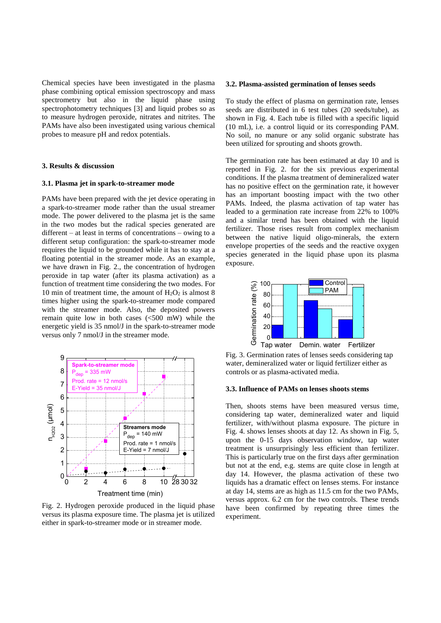Chemical species have been investigated in the plasma phase combining optical emission spectroscopy and mass spectrometry but also in the liquid phase using spectrophotometry techniques [3] and liquid probes so as to measure hydrogen peroxide, nitrates and nitrites. The PAMs have also been investigated using various chemical probes to measure pH and redox potentials.

# **3. Results & discussion**

### **3.1. Plasma jet in spark-to-streamer mode**

PAMs have been prepared with the jet device operating in a spark-to-streamer mode rather than the usual streamer mode. The power delivered to the plasma jet is the same in the two modes but the radical species generated are different – at least in terms of concentrations – owing to a different setup configuration: the spark-to-streamer mode requires the liquid to be grounded while it has to stay at a floating potential in the streamer mode. As an example, we have drawn in Fig. 2., the concentration of hydrogen peroxide in tap water (after its plasma activation) as a function of treatment time considering the two modes. For 10 min of treatment time, the amount of  $H_2O_2$  is almost 8 times higher using the spark-to-streamer mode compared with the streamer mode. Also, the deposited powers remain quite low in both cases (<500 mW) while the energetic yield is 35 nmol/J in the spark-to-streamer mode versus only 7 nmol/J in the streamer mode.



Fig. 2. Hydrogen peroxide produced in the liquid phase versus its plasma exposure time. The plasma jet is utilized either in spark-to-streamer mode or in streamer mode.

#### **3.2. Plasma-assisted germination of lenses seeds**

To study the effect of plasma on germination rate, lenses seeds are distributed in 6 test tubes (20 seeds/tube), as shown in Fig. 4. Each tube is filled with a specific liquid (10 mL), i.e. a control liquid or its corresponding PAM. No soil, no manure or any solid organic substrate has been utilized for sprouting and shoots growth.

The germination rate has been estimated at day 10 and is reported in Fig. 2. for the six previous experimental conditions. If the plasma treatment of demineralized water has no positive effect on the germination rate, it however has an important boosting impact with the two other PAMs. Indeed, the plasma activation of tap water has leaded to a germination rate increase from 22% to 100% and a similar trend has been obtained with the liquid fertilizer. Those rises result from complex mechanism between the native liquid oligo-minerals, the extern envelope properties of the seeds and the reactive oxygen species generated in the liquid phase upon its plasma exposure.



Fig. 3. Germination rates of lenses seeds considering tap water, demineralized water or liquid fertilizer either as controls or as plasma-activated media.

# **3.3. Influence of PAMs on lenses shoots stems**

Then, shoots stems have been measured versus time, considering tap water, demineralized water and liquid fertilizer, with/without plasma exposure. The picture in Fig. 4. shows lenses shoots at day 12. As shown in Fig. 5, upon the 0-15 days observation window, tap water treatment is unsurprisingly less efficient than fertilizer. This is particularly true on the first days after germination but not at the end, e.g. stems are quite close in length at day 14. However, the plasma activation of these two liquids has a dramatic effect on lenses stems. For instance at day 14, stems are as high as 11.5 cm for the two PAMs, versus approx. 6.2 cm for the two controls. These trends have been confirmed by repeating three times the experiment.